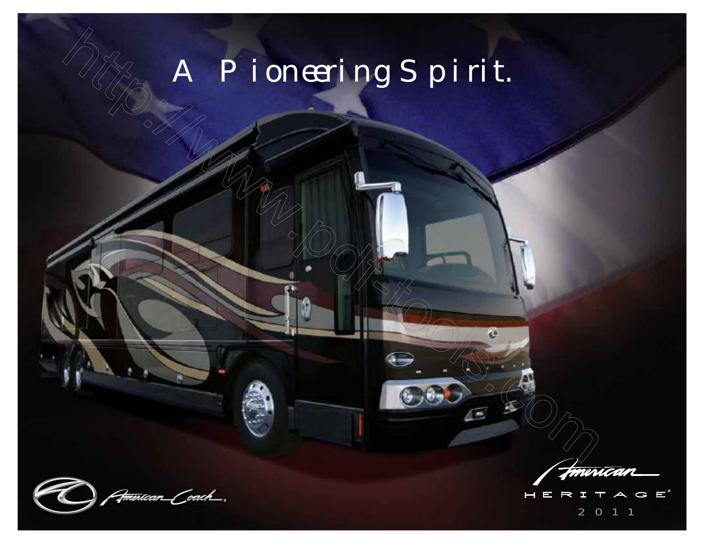# A Pioneering Spirit.

<del>erican Coach .</del>

 $G E^*$  $\vdash$ 2 011

χē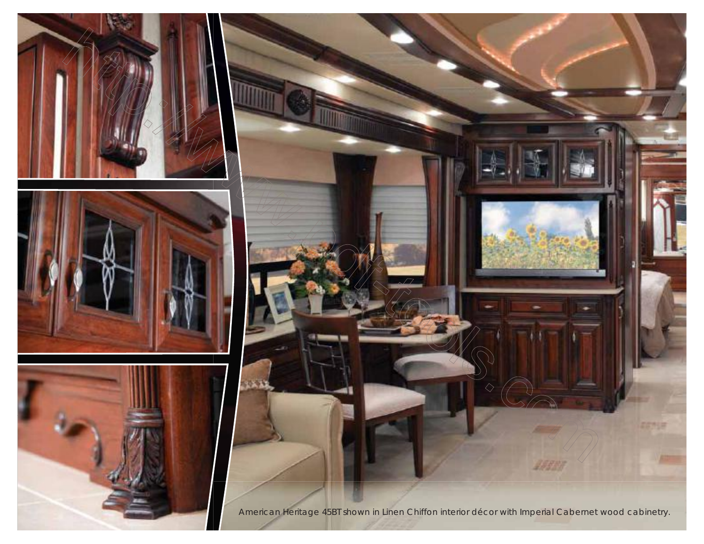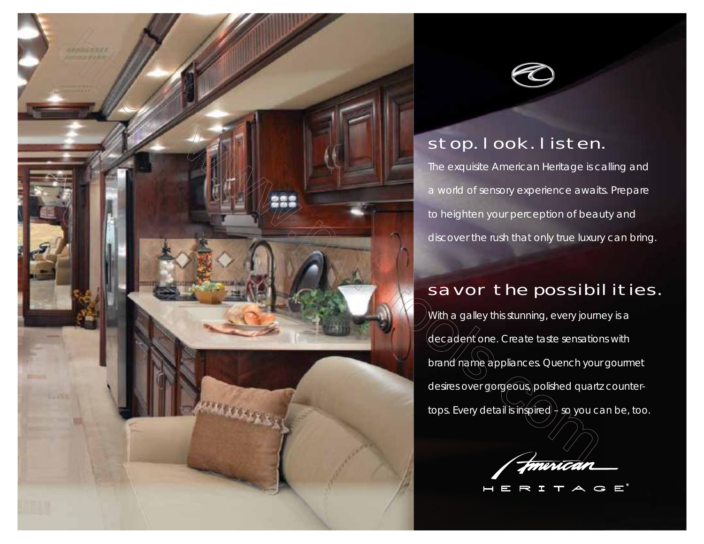



## stop. look. listen.

The exquisite American Heritage is calling and a world of sensory experience awaits. Prepare to heighten your perception of beauty and discover the rush that only true luxury can bring.

## savor the possibil ities.

With a galley this stunning, every journey is a decadent one. Create taste sensations with brand name appliances. Quench your gourmet desires over gorgeous, polished quartz countertops. Every detail is inspired  $\frac{1}{2}$  so you can be, too.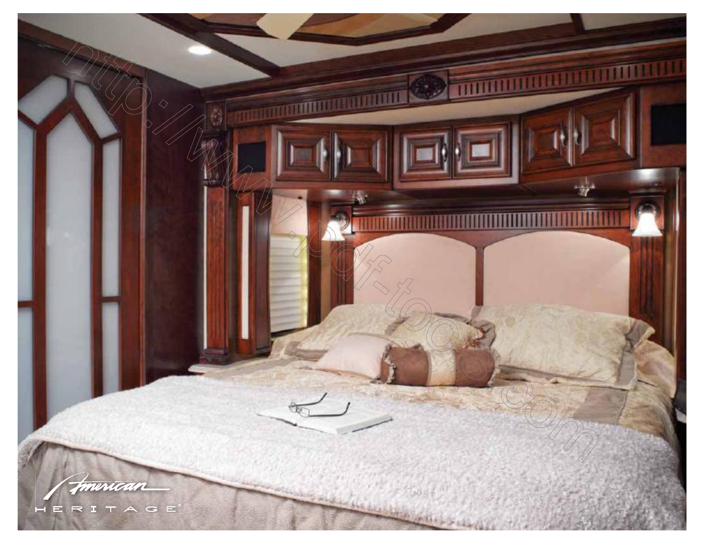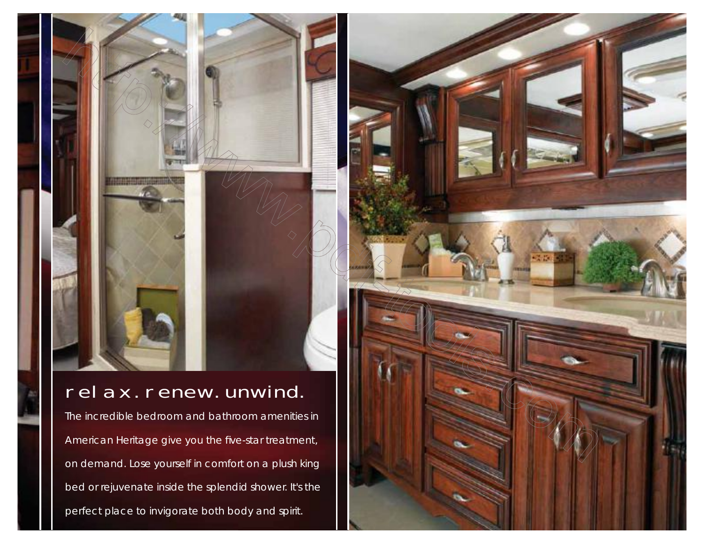## relax. renew. unwind.

The incredible bedroom and bathroom amenities in American Heritage give you the five-star treatment, on demand. Lose yourself in comfort on a plush king bed or rejuvenate inside the splendid shower. It's the perfect place to invigorate both body and spirit.

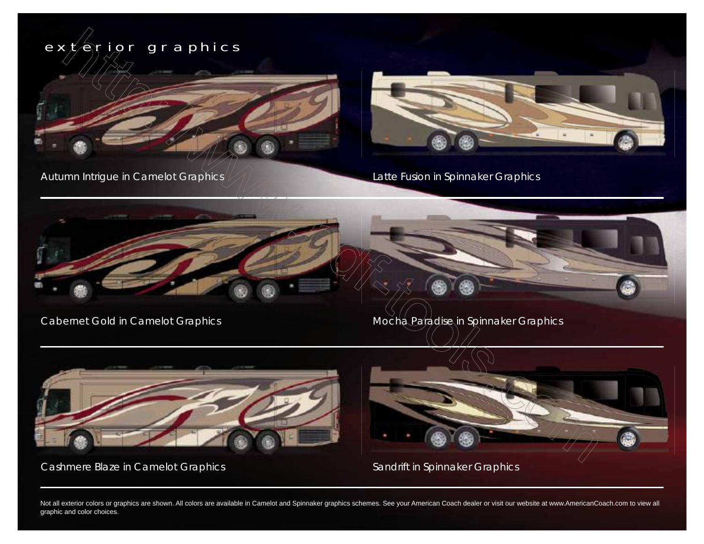

Not all exterior colors or graphics are shown. All colors are available in Camelot and Spinnaker graphics schemes. See your American Coach dealer or visit our website at www.AmericanCoach.com to view all graphic and color choices.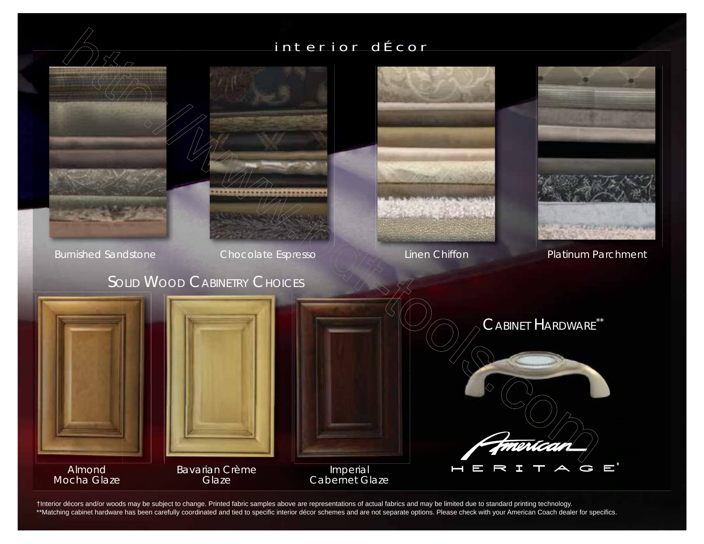## interior dÉcor



†Interior décors and/or woods may be subject to change. Printed fabric samples above are representations of actual fabrics and may be limited due to standard printing technology. \*\*Matching cabinet hardware has been carefully coordinated and tied to specific interior décor schemes and are not separate options. Please check with your American Coach dealer for specifics.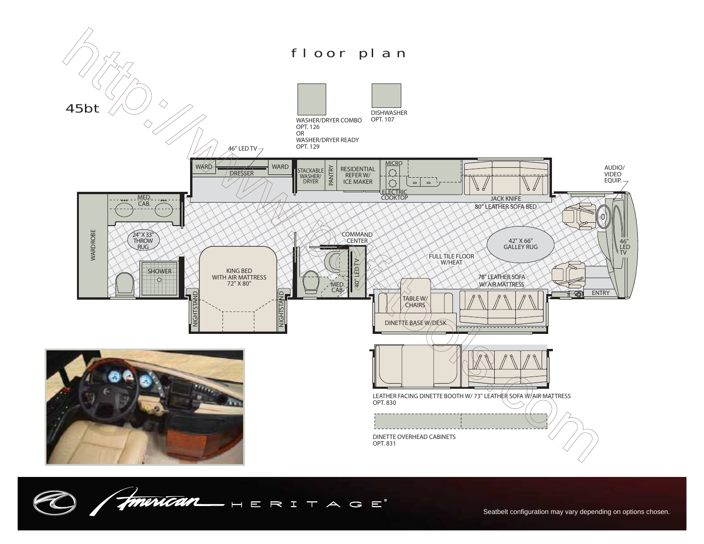

American HERITAGE  $\overline{\mathcal{X}}$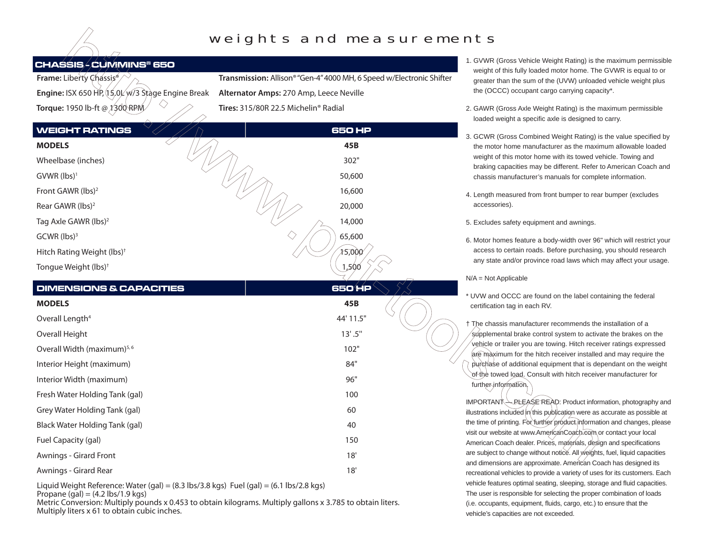### weights and measurements

#### **CHASSIS - CUMMINS® 650**

| <b>Frame:</b> Liberty Chassis <sup>®</sup>    |
|-----------------------------------------------|
| Engine: ISX 650 HP, 15,0 W/3 Stage Engine Bre |
| Torque: 1950 lb-ft @ 1300 RPM                 |

**Transmission:** Allison® "Gen-4" 4000 MH, 6 Speed w/Electronic Shifter

**Eak** Alternator Amps: 270 Amp, Leece Neville **Tires:** 315/80R 22.5 Michelin® Radial

| 1. GVWR (Gross Vehicle Weight Rating) is the maximum permissible |
|------------------------------------------------------------------|
| weight of this fully loaded motor home. The GVWR is equal to or  |
| greater than the sum of the (UVW) unloaded vehicle weight plus   |
| the (OCCC) occupant cargo carrying capacity*.                    |

- 2. GAWR (Gross Axle Weight Rating) is the maximum permissible loaded weight a specific axle is designed to carry.
- 3. GCWR (Gross Combined Weight Rating) is the value specified by the motor home manufacturer as the maximum allowable loaded weight of this motor home with its towed vehicle. Towing and braking capacities may be different. Refer to American Coach and chassis manufacturer's manuals for complete information.
- 4. Length measured from front bumper to rear bumper (excludes accessories).
- 5. Excludes safety equipment and awnings.
- 6. Motor homes feature a body-width over 96" which will restrict your access to certain roads. Before purchasing, you should research any state and/or province road laws which may affect your usage.

N/A = Not Applicable

UVW and OCCC are found on the label containing the federal certification tag in each RV.

† The chassis manufacturer recommends the installation of a supplemental brake control system to activate the brakes on the vehicle or trailer you are towing. Hitch receiver ratings expressed are maximum for the hitch receiver installed and may require the purchase of additional equipment that is dependant on the weight of the towed load. Consult with hitch receiver manufacturer for further information.

 $IMPORTANT \rightarrow PLEASE READ$ : Product information, photography and illustrations included in this publication were as accurate as possible at the time of printing. For further product information and changes, please visit our website at www.AmericanCoach.com or contact your local American Coach dealer. Prices, materials, design and specifications are subject to change without notice. All weights, fuel, liquid capacities and dimensions are approximate. American Coach has designed its recreational vehicles to provide a variety of uses for its customers. Each vehicle features optimal seating, sleeping, storage and fluid capacities. The user is responsible for selecting the proper combination of loads (i.e. occupants, equipment, fluids, cargo, etc.) to ensure that the vehicle's capacities are not exceeded.

| <b>WEIGHT RATINGS</b>                   | <b>650 HP</b> |  |  |
|-----------------------------------------|---------------|--|--|
| <b>MODELS</b>                           | 45B           |  |  |
| Wheelbase (inches)                      | 302"          |  |  |
| $GVWR$ (lbs) <sup>1</sup>               | 50,600        |  |  |
| Front GAWR (lbs) <sup>2</sup>           | 16,600        |  |  |
| Rear GAWR (lbs) <sup>2</sup>            | 20,000        |  |  |
| Tag Axle GAWR (lbs) <sup>2</sup>        | 14,000        |  |  |
| $GCWR$ (lbs) <sup>3</sup>               | 65,600        |  |  |
| Hitch Rating Weight (lbs) <sup>†</sup>  | 15,000        |  |  |
| Tongue Weight (lbs) <sup>†</sup>        | 1,500         |  |  |
| <b>DIMENSIONS &amp; CAPACITIES</b>      | 650'MP        |  |  |
|                                         |               |  |  |
| <b>MODELS</b>                           | 45B           |  |  |
| Overall Length <sup>4</sup>             | 44' 11.5"     |  |  |
| Overall Height                          | 13' .5''      |  |  |
| Overall Width (maximum) <sup>5, 6</sup> | 102"          |  |  |
| Interior Height (maximum)               | 84"           |  |  |
| Interior Width (maximum)                | 96"           |  |  |
| Fresh Water Holding Tank (gal)          | 100           |  |  |
| Grey Water Holding Tank (gal)           | 60            |  |  |
| Black Water Holding Tank (gal)          | 40            |  |  |
| Fuel Capacity (gal)                     | 150           |  |  |
| Awnings - Girard Front                  | 18'           |  |  |
| Awnings - Girard Rear                   | 18'           |  |  |

 Liquid Weight Reference: Water (gal) = (8.3 lbs/3.8 kgs) Fuel (gal) = (6.1 lbs/2.8 kgs) Propane (gal) =  $(4.2 \text{ lbs}/1.9 \text{ kg})$ 

Metric Conversion: Multiply pounds x 0.453 to obtain kilograms. Multiply gallons x 3.785 to obtain liters. Multiply liters x 61 to obtain cubic inches.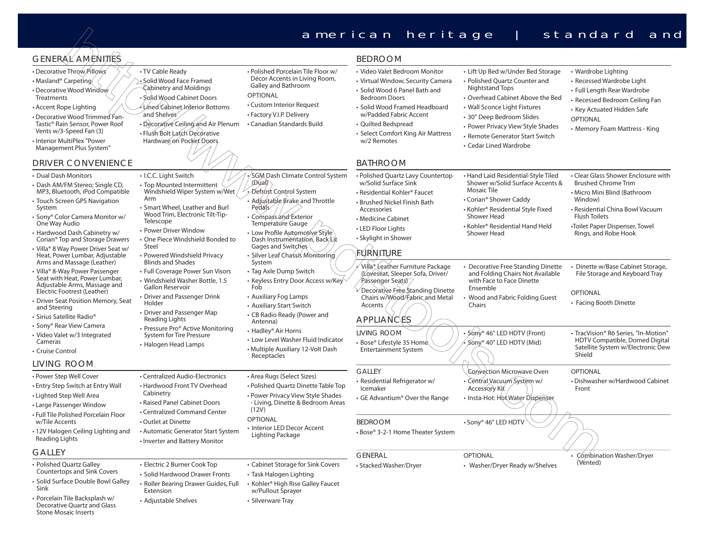|                                                                                                                                                                                                                                                                                                        |                                                                                                                                                                                                                                                                                                                                                                                                                                                                                                                                            |                                                                                                                                                                                                                                                           | american heritage                                                                                                                                                                                                                                                                     |                                                                                                                                                                                                                                                                                          | standard<br>and                                                                                                                                                                                                                   |
|--------------------------------------------------------------------------------------------------------------------------------------------------------------------------------------------------------------------------------------------------------------------------------------------------------|--------------------------------------------------------------------------------------------------------------------------------------------------------------------------------------------------------------------------------------------------------------------------------------------------------------------------------------------------------------------------------------------------------------------------------------------------------------------------------------------------------------------------------------------|-----------------------------------------------------------------------------------------------------------------------------------------------------------------------------------------------------------------------------------------------------------|---------------------------------------------------------------------------------------------------------------------------------------------------------------------------------------------------------------------------------------------------------------------------------------|------------------------------------------------------------------------------------------------------------------------------------------------------------------------------------------------------------------------------------------------------------------------------------------|-----------------------------------------------------------------------------------------------------------------------------------------------------------------------------------------------------------------------------------|
| GENERAL⁄AMENNIES                                                                                                                                                                                                                                                                                       |                                                                                                                                                                                                                                                                                                                                                                                                                                                                                                                                            |                                                                                                                                                                                                                                                           | <b>BEDROOM</b>                                                                                                                                                                                                                                                                        |                                                                                                                                                                                                                                                                                          |                                                                                                                                                                                                                                   |
| • Decorative Throw Pillows<br>• Masland® Carpeting<br>• Decorative Wood Window<br>Treatments<br>• Accent Rope Lighting<br>• Decorative Wood Trimmed Fan-<br>Tastic® Rain Sensor, Power Roof<br>Vents w/3-Speed Fan (3)<br>• Interior MultiPlex "Power<br>Management Plus System"<br>DRIVER CONVENIENCE | • TV Cable Ready<br>· Solid Wood Face Framed<br>Cabinetry and Moldings<br>• Solid Wood Cabinet Doors<br>Lined Cabinet Interior Bottoms<br>and Shelves<br>· Decorative Ceiling and Air Plenum<br>· Flush Bolt Latch Decorative<br>Hardware on Pocket Doors                                                                                                                                                                                                                                                                                  | • Polished Porcelain Tile Floor w/<br>Décor Accents in Living Room,<br>Galley and Bathroom<br><b>OPTIONAL</b><br>• Custom Interior Request<br>• Factory V.I.P. Delivery<br>• Canadian Standards Build                                                     | • Video Valet Bedroom Monitor<br>• Virtual Window, Security Camera<br>• Solid Wood 6 Panel Bath and<br><b>Bedroom Doors</b><br>• Solid Wood Framed Headboard<br>w/Padded Fabric Accent<br>• Quilted Bedspread<br>• Select Comfort King Air Mattress<br>w/2 Remotes<br><b>BATHROOM</b> | • Lift Up Bed w/Under Bed Storage<br>• Polished Quartz Counter and<br>Nightstand Tops<br>• Overhead Cabinet Above the Bed<br>• Wall Sconce Light Fixtures<br>• 30" Deep Bedroom Slides<br>• Power Privacy View Style Shades<br>• Remote Generator Start Switch<br>• Cedar Lined Wardrobe | • Wardrobe Lighting<br>• Recessed Wardrobe Light<br>• Full Length Rear Wardrobe<br>• Recessed Bedroom Ceiling Fan<br>• Key Actuated Hidden Safe<br><b>OPTIONAL</b><br>• Memory Foam Mattress - King                               |
|                                                                                                                                                                                                                                                                                                        |                                                                                                                                                                                                                                                                                                                                                                                                                                                                                                                                            |                                                                                                                                                                                                                                                           |                                                                                                                                                                                                                                                                                       |                                                                                                                                                                                                                                                                                          |                                                                                                                                                                                                                                   |
| • Dual Dash Monitors<br>· Dash AM/FM Stereo; Single CD,<br>MP3, Bluetooth, iPod Compatible<br>• Touch Screen GPS Navigation<br>System<br>• Sony <sup>®</sup> Color Camera Monitor w/<br>One Way Audio<br>· Hardwood Dash Cabinetry w/<br>Corian® Top and Storage Drawers                               | • I.C.C. Light Switch<br>• Top Mounted Intermittent<br>Windshield Wiper System w/Wet<br>Arm<br>• Smart Wheel, Leather and Burl<br>Wood Trim, Electronic Tilt-Tip-<br>Telescope<br>• Power Driver Window<br>• One Piece Windshield Bonded to<br>Steel                                                                                                                                                                                                                                                                                       | SGM Dash Climate Control System<br>(Dual)<br>Defrost Control System<br>• Adjustable Brake and Throttle<br>Pedals<br>• Compass and Exterior<br>Temperature Gauge<br>· Low Profile Automotive Style<br>Dash Instrumentation, Back Lit<br>Gages and Switches | • Polished Quartz Lavy Countertop<br>w/Solid Surface Sink<br>• Residential Kohler® Faucet<br>• Brushed Nickel Finish Bath<br>Accessories<br>• Medicine Cabinet<br>• LED Floor Lights<br>• Skylight in Shower                                                                          | • Hand Laid Residential-Style Tiled<br>Shower w/Solid Surface Accents &<br><b>Mosaic Tile</b><br>• Corian® Shower Caddy<br>• Kohler® Residential Style Fixed<br>Shower Head<br>• Kohler® Residential Hand Held<br>Shower Head                                                            | • Clear Glass Shower Enclosure with<br><b>Brushed Chrome Trim</b><br>• Micro Mini Blind (Bathroom<br>Window)<br>• Residential China Bowl Vacuum<br><b>Flush Toilets</b><br>•Toilet Paper Dispenser, Towel<br>Rings, and Robe Hook |
| • Villa® 8 Way Power Driver Seat w/<br>Heat, Power Lumbar, Adjustable<br>Arms and Massage (Leather)                                                                                                                                                                                                    | • Powered Windshield Privacy                                                                                                                                                                                                                                                                                                                                                                                                                                                                                                               | · Silver Leaf Chassis Monitoring                                                                                                                                                                                                                          | .<br>Maniture                                                                                                                                                                                                                                                                         |                                                                                                                                                                                                                                                                                          |                                                                                                                                                                                                                                   |
| • Villa <sup>®</sup> 8-Way Power Passenger<br>Seat with Heat, Power Lumbar,<br>Adjustable Arms, Massage and<br>Electric Footrest (Leather)<br>Driver Seat Position Memory, Seat<br>and Steering<br>• Sirius Satellite Radio®                                                                           | <b>Blinds and Shades</b><br>System<br>• Full Coverage Power Sun Visors<br>• Tag Axle Dump Switch<br>• Windshield Washer Bottle, 1.5<br><b>Gallon Reservoir</b><br>Fob<br>• Driver and Passenger Drink<br>• Auxiliary Fog Lamps<br>Holder<br>• Auxiliary Start Switch<br>• Driver and Passenger Map<br>• CB Radio Ready (Power and<br>Reading Lights<br>Antenna)<br>• Pressure Pro® Active Monitoring<br>• Hadley® Air Horns<br><b>System for Tire Pressure</b><br>• Halogen Head Lamps<br>• Multiple Auxiliary 12-Volt Dash<br>Receptacles | • Keyless Entry Door Access w/Key                                                                                                                                                                                                                         | Villa® Leather Furniture Package<br>(Loveseat, Sleeper Sofa, Driver/<br>Passenger Seats)<br>Decorative Free Standing Dinette<br>Chairs w/Wood/Fabric and Metal<br>Accents<br><b>APPLIANCES</b>                                                                                        | Decorative Free Standing Dinette<br>and Folding Chairs Not Available<br>with Face to Face Dinette<br>Ensemble<br>Wood and Fabric Folding Guest<br>Chairs                                                                                                                                 | • Dinette w/Base Cabinet Storage,<br>File Storage and Keyboard Tray<br><b>OPTIONAL</b><br>• Facing Booth Dinette                                                                                                                  |
| • Sony® Rear View Camera<br>· Video Valet w/3 Integrated<br>Cameras<br>• Cruise Control                                                                                                                                                                                                                |                                                                                                                                                                                                                                                                                                                                                                                                                                                                                                                                            | • Low Level Washer Fluid Indicator                                                                                                                                                                                                                        | <b>LIVING ROOM</b><br>• Bose® Lifestyle 35 Home<br><b>Entertainment System</b>                                                                                                                                                                                                        | • Sony <sup>®</sup> 46" LED HDTV (Front)<br>Sony <sup>®</sup> 40" LED HDTV (Mid)                                                                                                                                                                                                         | • TracVision® R6 Series, "In-Motion"<br>HDTV Compatible, Domed Digital<br>Satellite System w/Electronic Dew<br>Shield                                                                                                             |
| living room<br>• Power Step Well Cover<br>· Entry Step Switch at Entry Wall<br>· Lighted Step Well Area<br>• Large Passenger Window                                                                                                                                                                    | • Centralized Audio-Electronics<br>• Hardwood Front TV Overhead<br>Cabinetry<br>• Raised Panel Cabinet Doors<br>• Centralized Command Center                                                                                                                                                                                                                                                                                                                                                                                               | • Area Rugs (Select Sizes)<br>• Polished Quartz Dinette Table Top<br>• Power Privacy View Style Shades<br>- Living, Dinette & Bedroom Areas<br>(12V)                                                                                                      | <b>GALLEY</b><br>· Residential Refrigerator w/<br>Icemaker<br>• GE Advantium® Over the Range                                                                                                                                                                                          | Convection Microwave Oven<br>· Central Vacuum System w/<br><b>Accessory Kit</b><br>· Insta-Hot: Hot Water Dispenser                                                                                                                                                                      | <b>OPTIONAL</b><br>• Dishwasher w/Hardwood Cabinet<br>Front                                                                                                                                                                       |
| · Full Tile Polished Porcelain Floor<br>w/Tile Accents<br>· 12V Halogen Ceiling Lighting and<br>Reading Lights                                                                                                                                                                                         | • Outlet at Dinette<br>• Automatic Generator Start System<br>• Inverter and Battery Monitor                                                                                                                                                                                                                                                                                                                                                                                                                                                | OPTIONAL<br>• Interior LED Decor Accent<br>Lighting Package                                                                                                                                                                                               | <b>BEDROOM</b><br>• Bose® 3-2-1 Home Theater System                                                                                                                                                                                                                                   | · Sony <sup>®</sup> 46" LED HDTV                                                                                                                                                                                                                                                         |                                                                                                                                                                                                                                   |
| Galley                                                                                                                                                                                                                                                                                                 |                                                                                                                                                                                                                                                                                                                                                                                                                                                                                                                                            |                                                                                                                                                                                                                                                           | <b>GENERAL</b>                                                                                                                                                                                                                                                                        | <b>OPTIONAL</b>                                                                                                                                                                                                                                                                          | Cómbination Washer/Dryer                                                                                                                                                                                                          |
| · Polished Quartz Galley<br>Countertops and Sink Covers<br>· Solid Surface Double Bowl Galley<br>Sink<br>· Porcelain Tile Backsplash w/<br>Decorative Quartz and Glass<br><b>Stone Mosaic Inserts</b>                                                                                                  | · Electric 2 Burner Cook Top<br>· Solid Hardwood Drawer Fronts<br>• Roller Bearing Drawer Guides, Full<br>Extension<br>• Adjustable Shelves                                                                                                                                                                                                                                                                                                                                                                                                | • Cabinet Storage for Sink Covers<br>• Task Halogen Lighting<br>• Kohler® High Rise Galley Faucet<br>w/Pullout Sprayer<br>• Silverware Tray                                                                                                               | • Stacked Washer/Dryer                                                                                                                                                                                                                                                                | • Washer/Dryer Ready w/Shelves                                                                                                                                                                                                                                                           | (Vented)                                                                                                                                                                                                                          |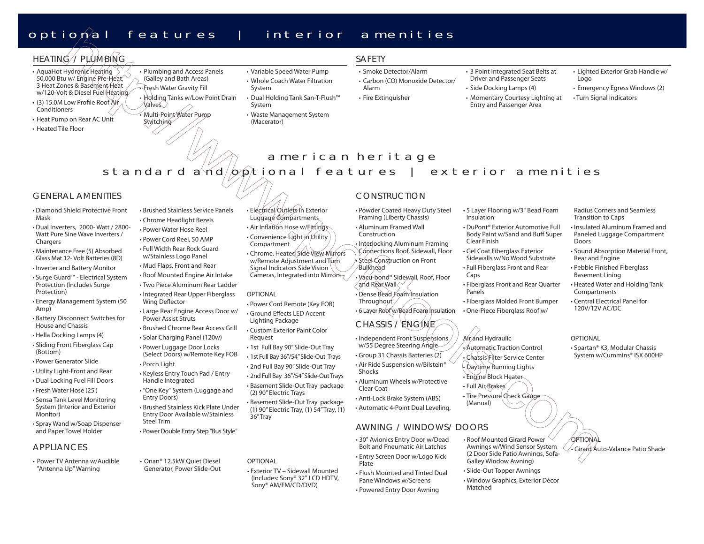### optional features | interior amenities

### HEATING// PLUMBING

- AquaHot Hydronic Heating  $\langle$ 50,000 Btu w/ Engine Pre-Heat, 3 Heat Zones & Basement Heat w/120-Volt & Diesel Fuel Heating
- $\cdot$  (3) 15.0M Low Profile Roof Air **Conditioners**
- Heat Pump on Rear AC Unit
- Heated Tile Floor
- Plumbing and Access Panels (Galley and Bath Areas) • Fresh Water Gravity Fill
	- Holding Tanks w/Low Point Drain Valves
- Multi-Point Water Pump Switching
- Variable Speed Water Pump
- Whole Coach Water Filtration System
- Dual Holding Tank San-T-Flush™ System
- Waste Management System (Macerator)

#### SAFETY

Alarm• Fire Extinguisher

- Smoke Detector/Alarm
- Carbon (CO) Monoxide Detector/
- 3 Point Integrated Seat Belts at Driver and Passenger Seats • Side Docking Lamps (4)

• Momentary Courtesy Lighting at Entry and Passenger Area

- Lighted Exterior Grab Handle w/ Logo
- Emergency Egress Windows (2) • Turn Signal Indicators

### american heritage standard and  $\phi$  ptional features | exterior amenities

#### GENERAL AMENITIES

- Diamond Shield Protective Front Mask
- Dual Inverters, 2000- Watt / 2800- Watt Pure Sine Wave Inverters / Chargers
- Maintenance Free (5) Absorbed Glass Mat 12- Volt Batteries (8D)
- Inverter and Battery Monitor
- Surge Guard™ Electrical System Protection (Includes Surge Protection)
- Energy Management System (50 Amp)
- Battery Disconnect Switches for House and Chassis
- Hella Docking Lamps (4)
- Sliding Front Fiberglass Cap (Bottom)
- Power Generator Slide
- Utility Light-Front and Rear • Dual Locking Fuel Fill Doors
- Fresh Water Hose (25')
- Sensa Tank Level Monitoring System (Interior and Exterior Monitor)
- Spray Wand w/Soap Dispenser and Paper Towel Holder

#### **APPLIANCES**

• Power TV Antenna w/Audible "Antenna Up" Warning

- Brushed Stainless Service Panels• Chrome Headlight Bezels
- Power Water Hose Reel
- Power Cord Reel, 50 AMP
- Full Width Rear Rock Guardw/Stainless Logo Panel
- Mud Flaps, Front and Rear
- Roof Mounted Engine Air Intake
- Two Piece Aluminum Rear Ladder
- Integrated Rear Upper Fiberglass Wing Deflector
- Large Rear Engine Access Door w/ Power Assist Struts
- Brushed Chrome Rear Access Grill• Solar Charging Panel (120w)
- Power Luggage Door Locks (Select Doors) w/Remote Key FOB • Porch Light
- Keyless Entry Touch Pad / Entry Handle Integrated
- "One Key" System (Luggage and Entry Doors)
- Brushed Stainless Kick Plate Under Entry Door Available w/Stainless Steel Trim
- Power Double Entry Step "Bus Style"
- Onan® 12.5kW Quiet Diesel Generator, Power Slide-Out

#### • Electrical Outlets in Exterior Luggage Compartments

- Air Inflation Hose w/Fittings • Convenience Light in Utility
- Compartment • Chrome, Heated Side View Mirrors w/Remote Adjustment and Turn Signal Indicators Side Vision Cameras, Integrated into Mirrors-

#### OPTIONAL

OPTIONAL

- Power Cord Remote (Key FOB) • Ground Effects LED Accent Lighting Package
- Custom Exterior Paint Color Request
- 1st Full Bay 90" Slide-Out Tray
- 1st Full Bay 36"/54" Slide-Out Trays • 2nd Full Bay 90" Slide-Out Tray
- 2nd Full Bay 36"/54" Slide-Out Trays • Basement Slide-Out Tray package (2) 90" Electric Trays

• Basement Slide-Out Tray package (1) 90" Electric Tray, (1) 54" Tray, (1) 36" Tray

• Exterior TV – Sidewall Mounted (Includes: Sony® 32'' LCD HDTV, Sony® AM/FM/CD/DVD)

#### CONSTRUCTION

• Powder Coated Heavy Duty Steel Framing (Liberty Chassis) Construction

Connections Roof, Sidewall, Floor Steel Construction on Front

- Vacu-bond® Sidewall, Roof, Floor and Rear Wall
- Dense Bead Foam Insulation **Throughout**
- 6 Layer Roof w/Bead Foam Insulation CHASSIS / ENGINE
- Independent Front Suspensions w/55 Degree Steering Angle
- Group 31 Chassis Batteries (2) • Air Ride Suspension w/Bilstein® Shocks
- Aluminum Wheels w/Protective Clear Coat
- Anti-Lock Brake System (ABS) • Automatic 4-Point Dual Leveling,

#### AWNING / WINDOWS/ DOORS

- 30" Avionics Entry Door w/Dead Bolt and Pneumatic Air Latches
- Entry Screen Door w/Logo Kick Plate• Flush Mounted and Tinted Dual Pane Windows w/Screens

• Powered Entry Door Awning

- - Window Graphics, Exterior Décor Matched

#### • 5 Layer Flooring w/3" Bead Foam Insulation

- DuPont® Exterior Automotive Full Body Paint w/Sand and Buff Super Clear Finish
- Gel Coat Fiberglass Exterior Sidewalls w/No Wood Substrate
- Full Fiberglass Front and Rear Caps
- Fiberglass Front and Rear Quarter Panels
- Fiberglass Molded Front Bumper • One-Piece Fiberglass Roof w/

### Air and Hydraulic

- $\sqrt{\mathsf{Autom}}$ atic Traction Control • Chassis Filter Service Center • Daytime Running Lights • Engine Block Heater
- Full Air Brakes • Tire Pressure Check Gauge (Manual) • Roof Mounted Girard Power Awnings w/Wind Sensor System **OPTIONA** 
	- Girard Auto-Valance Patio Shade
- (2 Door Side Patio Awnings, Sofa-Galley Window Awning)

• Slide-Out Topper Awnings

Rear and Engine • Pebble Finished Fiberglass Basement Lining • Heated Water and Holding Tank

**OPTIONAL** 

Doors

Compartments

• Spartan® K3, Modular Chassis System w/Cummins® ISX 600HP

Radius Corners and Seamless

• Insulated Aluminum Framed and Paneled Luggage Compartment

• Sound Absorption Material Front,

Transition to Caps

• Central Electrical Panel for 120V/12V AC/DC



• Interlocking Aluminum Framing Bulkhead